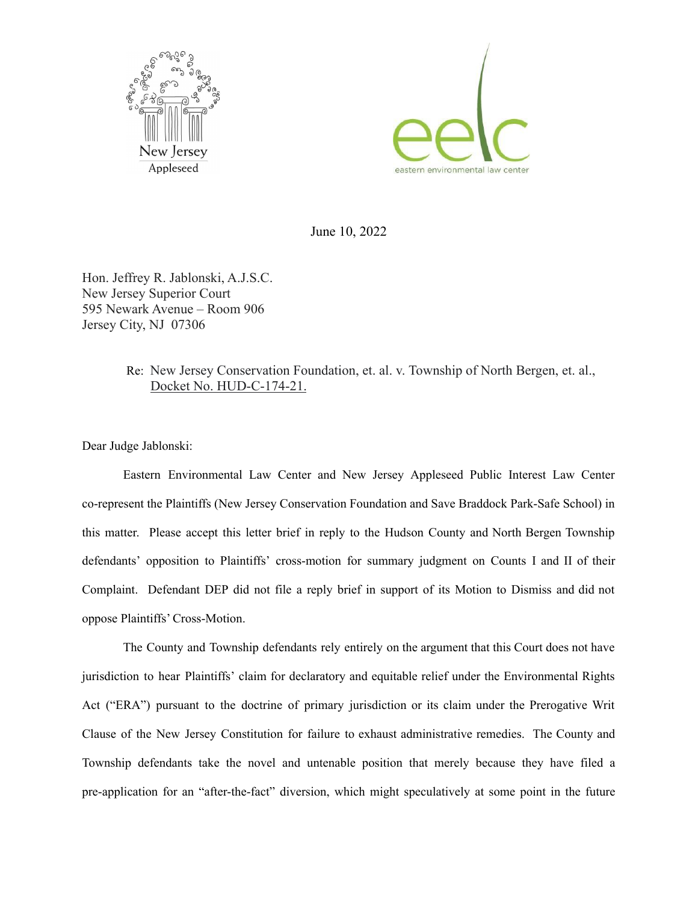



June 10, 2022

Hon. Jeffrey R. Jablonski, A.J.S.C. New Jersey Superior Court 595 Newark Avenue – Room 906 Jersey City, NJ 07306

## Re: New Jersey Conservation Foundation, et. al. v. Township of North Bergen, et. al., Docket No. HUD-C-174-21.

Dear Judge Jablonski:

Eastern Environmental Law Center and New Jersey Appleseed Public Interest Law Center co-represent the Plaintiffs (New Jersey Conservation Foundation and Save Braddock Park-Safe School) in this matter. Please accept this letter brief in reply to the Hudson County and North Bergen Township defendants' opposition to Plaintiffs' cross-motion for summary judgment on Counts I and II of their Complaint. Defendant DEP did not file a reply brief in support of its Motion to Dismiss and did not oppose Plaintiffs' Cross-Motion.

The County and Township defendants rely entirely on the argument that this Court does not have jurisdiction to hear Plaintiffs' claim for declaratory and equitable relief under the Environmental Rights Act ("ERA") pursuant to the doctrine of primary jurisdiction or its claim under the Prerogative Writ Clause of the New Jersey Constitution for failure to exhaust administrative remedies. The County and Township defendants take the novel and untenable position that merely because they have filed a pre-application for an "after-the-fact" diversion, which might speculatively at some point in the future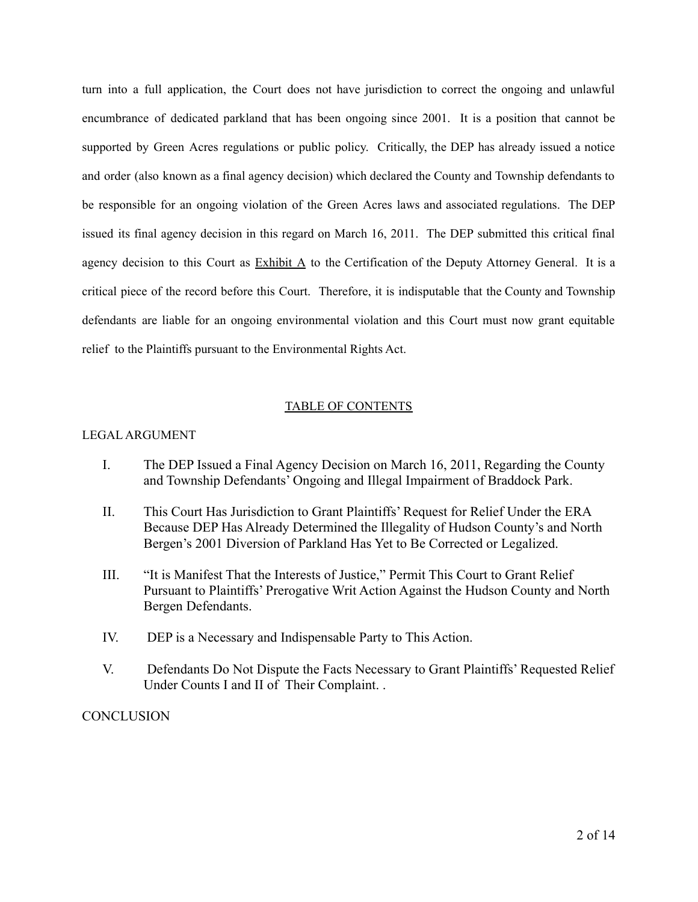turn into a full application, the Court does not have jurisdiction to correct the ongoing and unlawful encumbrance of dedicated parkland that has been ongoing since 2001. It is a position that cannot be supported by Green Acres regulations or public policy. Critically, the DEP has already issued a notice and order (also known as a final agency decision) which declared the County and Township defendants to be responsible for an ongoing violation of the Green Acres laws and associated regulations. The DEP issued its final agency decision in this regard on March 16, 2011. The DEP submitted this critical final agency decision to this Court as  $Exhibit A$  to the Certification of the Deputy Attorney General. It is a critical piece of the record before this Court. Therefore, it is indisputable that the County and Township defendants are liable for an ongoing environmental violation and this Court must now grant equitable relief to the Plaintiffs pursuant to the Environmental Rights Act.

#### TABLE OF CONTENTS

#### LEGAL ARGUMENT

- I. The DEP Issued a Final Agency Decision on March 16, 2011, Regarding the County and Township Defendants' Ongoing and Illegal Impairment of Braddock Park.
- II. This Court Has Jurisdiction to Grant Plaintiffs' Request for Relief Under the ERA Because DEP Has Already Determined the Illegality of Hudson County's and North Bergen's 2001 Diversion of Parkland Has Yet to Be Corrected or Legalized.
- III. "It is Manifest That the Interests of Justice," Permit This Court to Grant Relief Pursuant to Plaintiffs' Prerogative Writ Action Against the Hudson County and North Bergen Defendants.
- IV. DEP is a Necessary and Indispensable Party to This Action.
- V. Defendants Do Not Dispute the Facts Necessary to Grant Plaintiffs' Requested Relief Under Counts I and II of Their Complaint. .

### **CONCLUSION**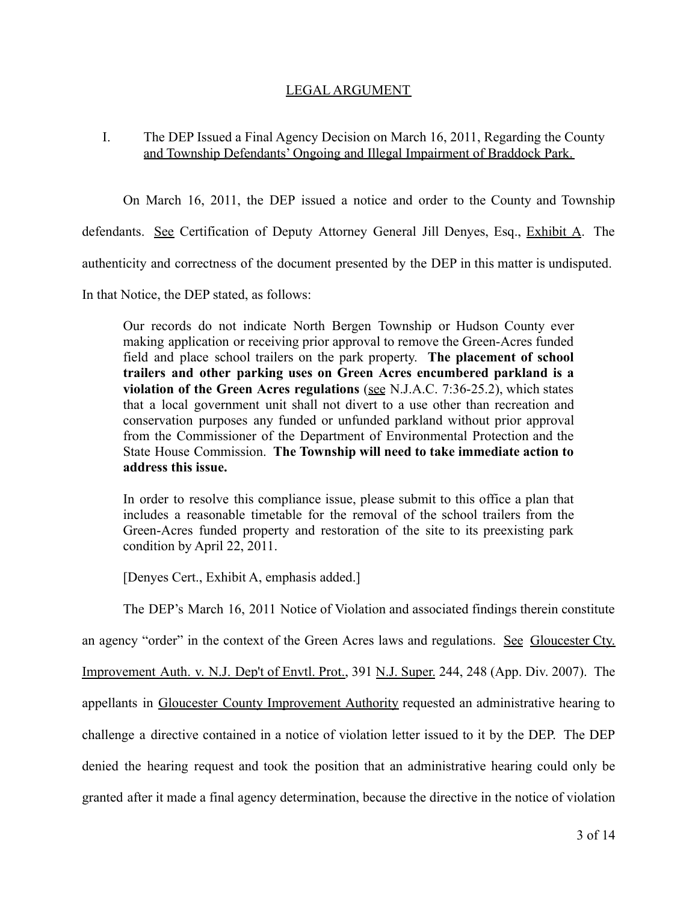## LEGAL ARGUMENT

# I. The DEP Issued a Final Agency Decision on March 16, 2011, Regarding the County and Township Defendants' Ongoing and Illegal Impairment of Braddock Park.

On March 16, 2011, the DEP issued a notice and order to the County and Township defendants. See Certification of Deputy Attorney General Jill Denyes, Esq., Exhibit A. The authenticity and correctness of the document presented by the DEP in this matter is undisputed. In that Notice, the DEP stated, as follows:

Our records do not indicate North Bergen Township or Hudson County ever making application or receiving prior approval to remove the Green-Acres funded field and place school trailers on the park property. **The placement of school trailers and other parking uses on Green Acres encumbered parkland is a violation of the Green Acres regulations** (see N.J.A.C. 7:36-25.2), which states that a local government unit shall not divert to a use other than recreation and conservation purposes any funded or unfunded parkland without prior approval from the Commissioner of the Department of Environmental Protection and the State House Commission. **The Township will need to take immediate action to address this issue.**

In order to resolve this compliance issue, please submit to this office a plan that includes a reasonable timetable for the removal of the school trailers from the Green-Acres funded property and restoration of the site to its preexisting park condition by April 22, 2011.

[Denyes Cert., Exhibit A, emphasis added.]

The DEP's March 16, 2011 Notice of Violation and associated findings therein constitute

an agency "order" in the context of the Green Acres laws and regulations. See Gloucester Cty.

Improvement Auth. v. N.J. Dep't of Envtl. Prot., 391 N.J. Super. 244, 248 (App. Div. 2007). The

appellants in Gloucester County Improvement Authority requested an administrative hearing to

challenge a directive contained in a notice of violation letter issued to it by the DEP. The DEP

denied the hearing request and took the position that an administrative hearing could only be

granted after it made a final agency determination, because the directive in the notice of violation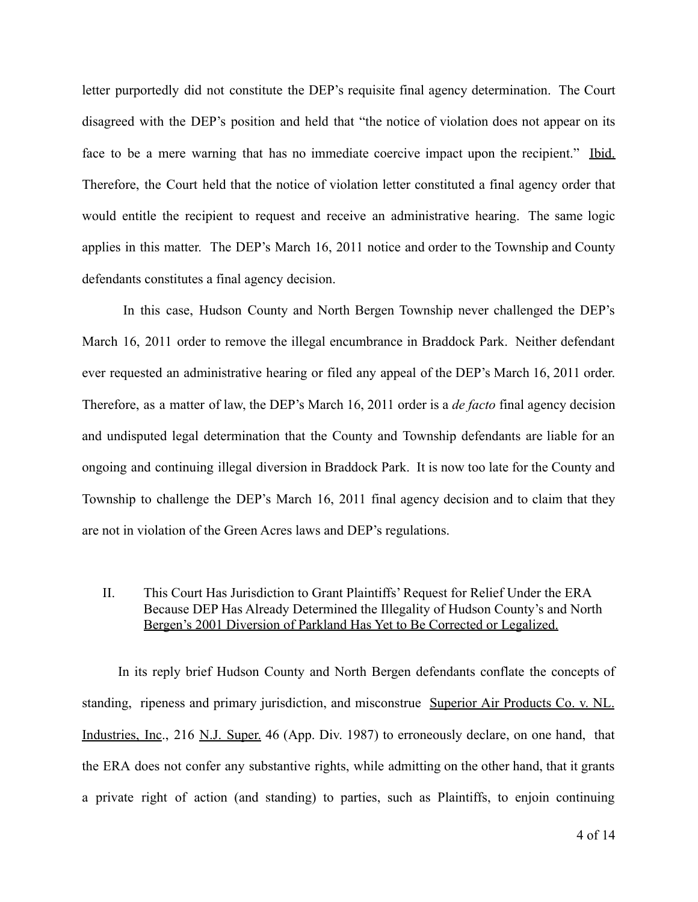letter purportedly did not constitute the DEP's requisite final agency determination. The Court disagreed with the DEP's position and held that "the notice of violation does not appear on its face to be a mere warning that has no immediate coercive impact upon the recipient." Ibid. Therefore, the Court held that the notice of violation letter constituted a final agency order that would entitle the recipient to request and receive an administrative hearing. The same logic applies in this matter. The DEP's March 16, 2011 notice and order to the Township and County defendants constitutes a final agency decision.

In this case, Hudson County and North Bergen Township never challenged the DEP's March 16, 2011 order to remove the illegal encumbrance in Braddock Park. Neither defendant ever requested an administrative hearing or filed any appeal of the DEP's March 16, 2011 order. Therefore, as a matter of law, the DEP's March 16, 2011 order is a *de facto* final agency decision and undisputed legal determination that the County and Township defendants are liable for an ongoing and continuing illegal diversion in Braddock Park. It is now too late for the County and Township to challenge the DEP's March 16, 2011 final agency decision and to claim that they are not in violation of the Green Acres laws and DEP's regulations.

### II. This Court Has Jurisdiction to Grant Plaintiffs' Request for Relief Under the ERA Because DEP Has Already Determined the Illegality of Hudson County's and North Bergen's 2001 Diversion of Parkland Has Yet to Be Corrected or Legalized.

In its reply brief Hudson County and North Bergen defendants conflate the concepts of standing, ripeness and primary jurisdiction, and misconstrue Superior Air Products Co. v. NL. Industries, Inc., 216 N.J. Super. 46 (App. Div. 1987) to erroneously declare, on one hand, that the ERA does not confer any substantive rights, while admitting on the other hand, that it grants a private right of action (and standing) to parties, such as Plaintiffs, to enjoin continuing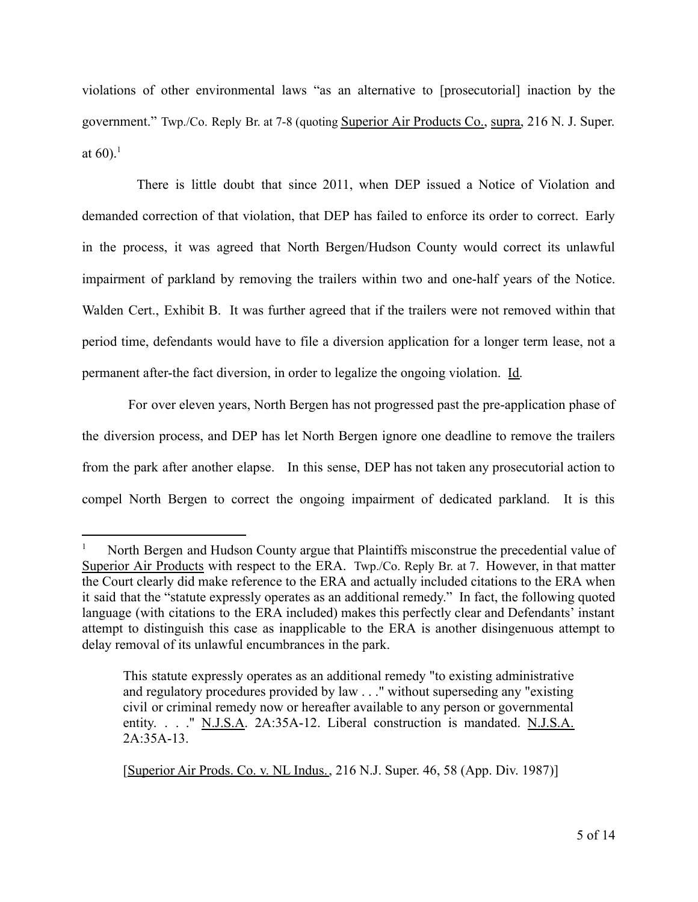violations of other environmental laws "as an alternative to [prosecutorial] inaction by the government." Twp./Co. Reply Br. at 7-8 (quoting Superior Air Products Co., supra, 216 N. J. Super. at  $60$ ).<sup>1</sup>

There is little doubt that since 2011, when DEP issued a Notice of Violation and demanded correction of that violation, that DEP has failed to enforce its order to correct. Early in the process, it was agreed that North Bergen/Hudson County would correct its unlawful impairment of parkland by removing the trailers within two and one-half years of the Notice. Walden Cert., Exhibit B. It was further agreed that if the trailers were not removed within that period time, defendants would have to file a diversion application for a longer term lease, not a permanent after-the fact diversion, in order to legalize the ongoing violation. Id.

For over eleven years, North Bergen has not progressed past the pre-application phase of the diversion process, and DEP has let North Bergen ignore one deadline to remove the trailers from the park after another elapse. In this sense, DEP has not taken any prosecutorial action to compel North Bergen to correct the ongoing impairment of dedicated parkland. It is this

<sup>1</sup> North Bergen and Hudson County argue that Plaintiffs misconstrue the precedential value of Superior Air Products with respect to the ERA. Twp./Co. Reply Br. at 7. However, in that matter the Court clearly did make reference to the ERA and actually included citations to the ERA when it said that the "statute expressly operates as an additional remedy." In fact, the following quoted language (with citations to the ERA included) makes this perfectly clear and Defendants' instant attempt to distinguish this case as inapplicable to the ERA is another disingenuous attempt to delay removal of its unlawful encumbrances in the park.

This statute expressly operates as an additional remedy "to existing administrative and regulatory procedures provided by law . . ." without superseding any "existing civil or criminal remedy now or hereafter available to any person or governmental entity. . . ." N.J.S.A. 2A:35A-12. Liberal construction is mandated. N.J.S.A. 2A:35A-13.

<sup>[</sup>Superior Air Prods. Co. v. NL Indus., 216 N.J. Super. 46, 58 (App. Div. 1987)]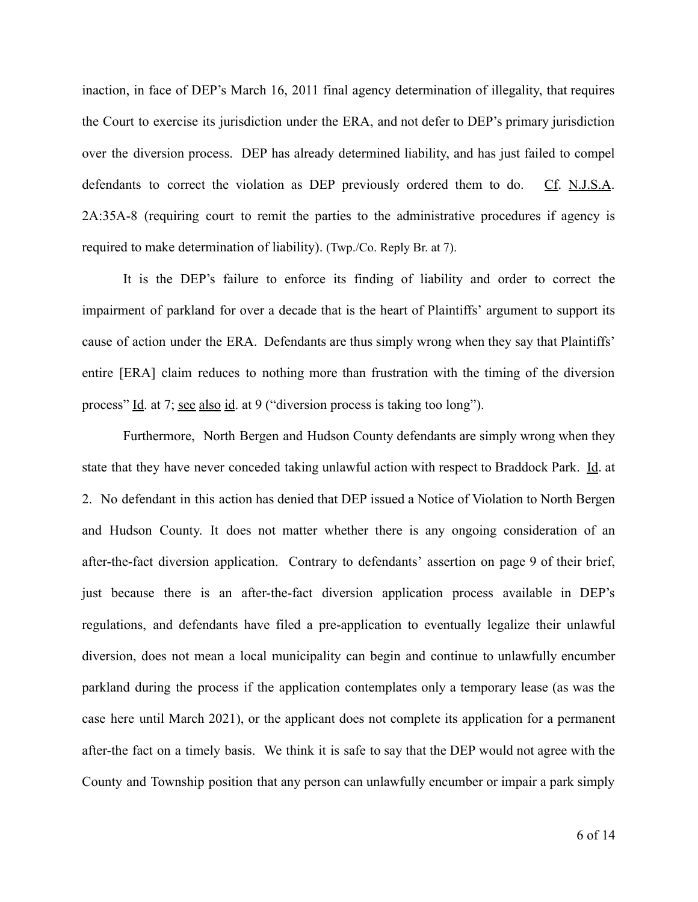inaction, in face of DEP's March 16, 2011 final agency determination of illegality, that requires the Court to exercise its jurisdiction under the ERA, and not defer to DEP's primary jurisdiction over the diversion process. DEP has already determined liability, and has just failed to compel defendants to correct the violation as DEP previously ordered them to do. Cf. N.J.S.A. 2A:35A-8 (requiring court to remit the parties to the administrative procedures if agency is required to make determination of liability). (Twp./Co. Reply Br. at 7).

It is the DEP's failure to enforce its finding of liability and order to correct the impairment of parkland for over a decade that is the heart of Plaintiffs' argument to support its cause of action under the ERA. Defendants are thus simply wrong when they say that Plaintiffs' entire [ERA] claim reduces to nothing more than frustration with the timing of the diversion process" Id. at 7; see also id. at 9 ("diversion process is taking too long").

Furthermore, North Bergen and Hudson County defendants are simply wrong when they state that they have never conceded taking unlawful action with respect to Braddock Park. Id. at 2. No defendant in this action has denied that DEP issued a Notice of Violation to North Bergen and Hudson County. It does not matter whether there is any ongoing consideration of an after-the-fact diversion application. Contrary to defendants' assertion on page 9 of their brief, just because there is an after-the-fact diversion application process available in DEP's regulations, and defendants have filed a pre-application to eventually legalize their unlawful diversion, does not mean a local municipality can begin and continue to unlawfully encumber parkland during the process if the application contemplates only a temporary lease (as was the case here until March 2021), or the applicant does not complete its application for a permanent after-the fact on a timely basis. We think it is safe to say that the DEP would not agree with the County and Township position that any person can unlawfully encumber or impair a park simply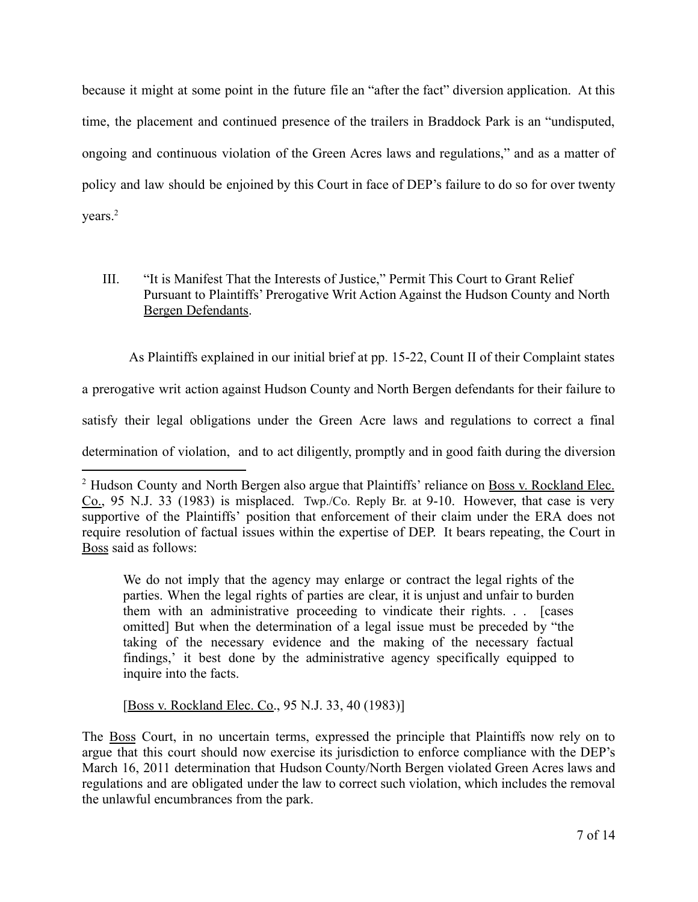because it might at some point in the future file an "after the fact" diversion application. At this time, the placement and continued presence of the trailers in Braddock Park is an "undisputed, ongoing and continuous violation of the Green Acres laws and regulations," and as a matter of policy and law should be enjoined by this Court in face of DEP's failure to do so for over twenty years.<sup>2</sup>

# III. "It is Manifest That the Interests of Justice," Permit This Court to Grant Relief Pursuant to Plaintiffs' Prerogative Writ Action Against the Hudson County and North Bergen Defendants.

As Plaintiffs explained in our initial brief at pp. 15-22, Count II of their Complaint states

a prerogative writ action against Hudson County and North Bergen defendants for their failure to

satisfy their legal obligations under the Green Acre laws and regulations to correct a final

determination of violation, and to act diligently, promptly and in good faith during the diversion

We do not imply that the agency may enlarge or contract the legal rights of the parties. When the legal rights of parties are clear, it is unjust and unfair to burden them with an administrative proceeding to vindicate their rights. . . [cases omitted] But when the determination of a legal issue must be preceded by "the taking of the necessary evidence and the making of the necessary factual findings,' it best done by the administrative agency specifically equipped to inquire into the facts.

[Boss v. Rockland Elec. Co., 95 N.J. 33, 40 (1983)]

The Boss Court, in no uncertain terms, expressed the principle that Plaintiffs now rely on to argue that this court should now exercise its jurisdiction to enforce compliance with the DEP's March 16, 2011 determination that Hudson County/North Bergen violated Green Acres laws and regulations and are obligated under the law to correct such violation, which includes the removal the unlawful encumbrances from the park.

<sup>&</sup>lt;sup>2</sup> Hudson County and North Bergen also argue that Plaintiffs' reliance on **Boss v. Rockland Elec.** Co., 95 N.J. 33 (1983) is misplaced. Twp./Co. Reply Br. at 9-10. However, that case is very supportive of the Plaintiffs' position that enforcement of their claim under the ERA does not require resolution of factual issues within the expertise of DEP. It bears repeating, the Court in Boss said as follows: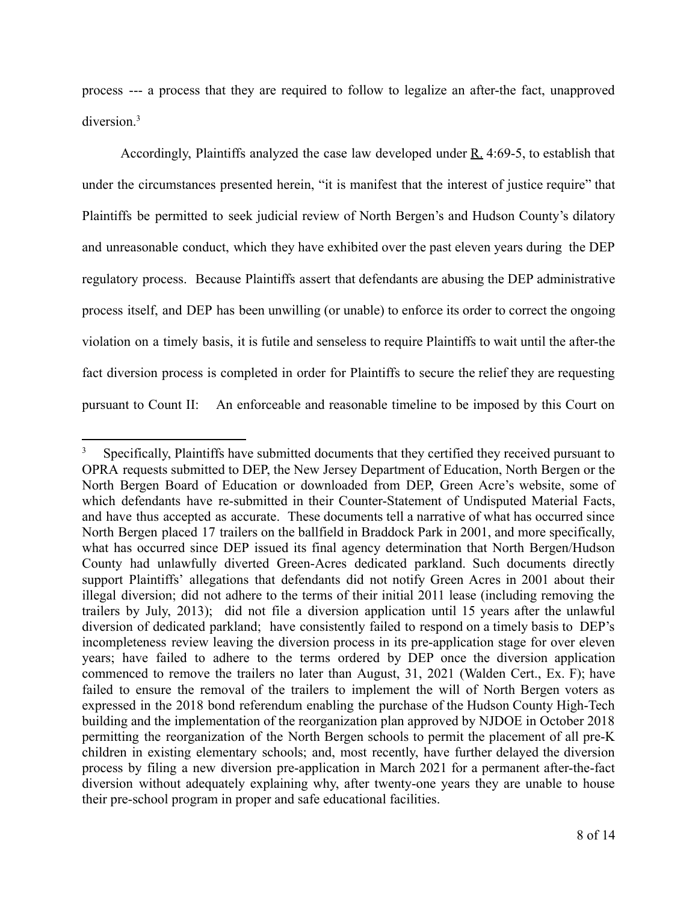process --- a process that they are required to follow to legalize an after-the fact, unapproved diversion.<sup>3</sup>

Accordingly, Plaintiffs analyzed the case law developed under  $R_4$ . 4:69-5, to establish that under the circumstances presented herein, "it is manifest that the interest of justice require" that Plaintiffs be permitted to seek judicial review of North Bergen's and Hudson County's dilatory and unreasonable conduct, which they have exhibited over the past eleven years during the DEP regulatory process. Because Plaintiffs assert that defendants are abusing the DEP administrative process itself, and DEP has been unwilling (or unable) to enforce its order to correct the ongoing violation on a timely basis, it is futile and senseless to require Plaintiffs to wait until the after-the fact diversion process is completed in order for Plaintiffs to secure the relief they are requesting pursuant to Count II: An enforceable and reasonable timeline to be imposed by this Court on

<sup>3</sup> Specifically, Plaintiffs have submitted documents that they certified they received pursuant to OPRA requests submitted to DEP, the New Jersey Department of Education, North Bergen or the North Bergen Board of Education or downloaded from DEP, Green Acre's website, some of which defendants have re-submitted in their Counter-Statement of Undisputed Material Facts, and have thus accepted as accurate. These documents tell a narrative of what has occurred since North Bergen placed 17 trailers on the ballfield in Braddock Park in 2001, and more specifically, what has occurred since DEP issued its final agency determination that North Bergen/Hudson County had unlawfully diverted Green-Acres dedicated parkland. Such documents directly support Plaintiffs' allegations that defendants did not notify Green Acres in 2001 about their illegal diversion; did not adhere to the terms of their initial 2011 lease (including removing the trailers by July, 2013); did not file a diversion application until 15 years after the unlawful diversion of dedicated parkland; have consistently failed to respond on a timely basis to DEP's incompleteness review leaving the diversion process in its pre-application stage for over eleven years; have failed to adhere to the terms ordered by DEP once the diversion application commenced to remove the trailers no later than August, 31, 2021 (Walden Cert., Ex. F); have failed to ensure the removal of the trailers to implement the will of North Bergen voters as expressed in the 2018 bond referendum enabling the purchase of the Hudson County High-Tech building and the implementation of the reorganization plan approved by NJDOE in October 2018 permitting the reorganization of the North Bergen schools to permit the placement of all pre-K children in existing elementary schools; and, most recently, have further delayed the diversion process by filing a new diversion pre-application in March 2021 for a permanent after-the-fact diversion without adequately explaining why, after twenty-one years they are unable to house their pre-school program in proper and safe educational facilities.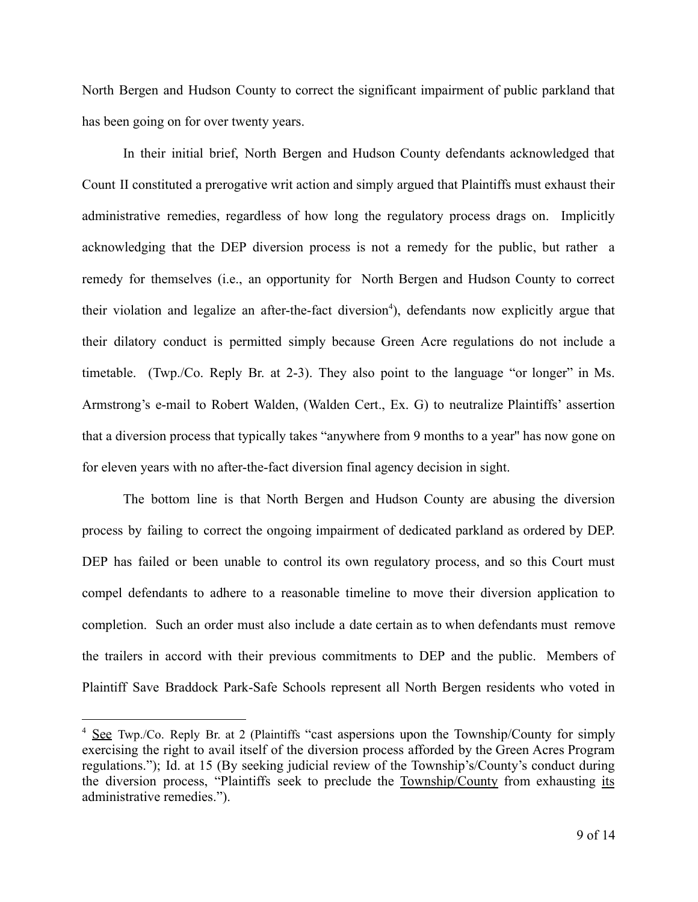North Bergen and Hudson County to correct the significant impairment of public parkland that has been going on for over twenty years.

In their initial brief, North Bergen and Hudson County defendants acknowledged that Count II constituted a prerogative writ action and simply argued that Plaintiffs must exhaust their administrative remedies, regardless of how long the regulatory process drags on. Implicitly acknowledging that the DEP diversion process is not a remedy for the public, but rather a remedy for themselves (i.e., an opportunity for North Bergen and Hudson County to correct their violation and legalize an after-the-fact diversion<sup>4</sup>), defendants now explicitly argue that their dilatory conduct is permitted simply because Green Acre regulations do not include a timetable. (Twp./Co. Reply Br. at 2-3). They also point to the language "or longer" in Ms. Armstrong's e-mail to Robert Walden, (Walden Cert., Ex. G) to neutralize Plaintiffs' assertion that a diversion process that typically takes "anywhere from 9 months to a year'' has now gone on for eleven years with no after-the-fact diversion final agency decision in sight.

The bottom line is that North Bergen and Hudson County are abusing the diversion process by failing to correct the ongoing impairment of dedicated parkland as ordered by DEP. DEP has failed or been unable to control its own regulatory process, and so this Court must compel defendants to adhere to a reasonable timeline to move their diversion application to completion. Such an order must also include a date certain as to when defendants must remove the trailers in accord with their previous commitments to DEP and the public. Members of Plaintiff Save Braddock Park-Safe Schools represent all North Bergen residents who voted in

<sup>&</sup>lt;sup>4</sup> See Twp./Co. Reply Br. at 2 (Plaintiffs "cast aspersions upon the Township/County for simply exercising the right to avail itself of the diversion process afforded by the Green Acres Program regulations."); Id. at 15 (By seeking judicial review of the Township's/County's conduct during the diversion process, "Plaintiffs seek to preclude the Township/County from exhausting its administrative remedies.").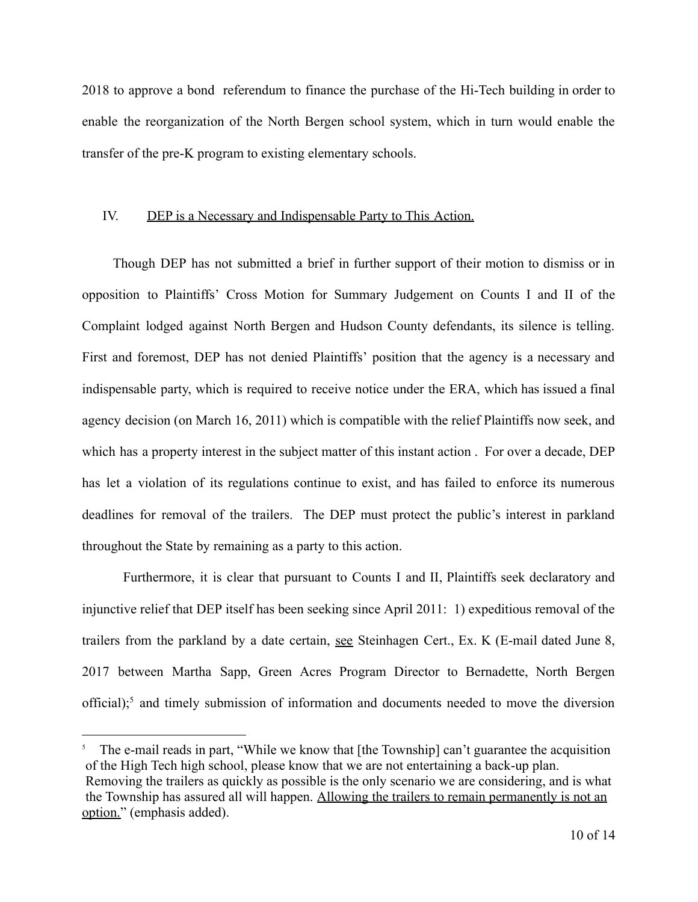2018 to approve a bond referendum to finance the purchase of the Hi-Tech building in order to enable the reorganization of the North Bergen school system, which in turn would enable the transfer of the pre-K program to existing elementary schools.

## IV. DEP is a Necessary and Indispensable Party to This Action.

Though DEP has not submitted a brief in further support of their motion to dismiss or in opposition to Plaintiffs' Cross Motion for Summary Judgement on Counts I and II of the Complaint lodged against North Bergen and Hudson County defendants, its silence is telling. First and foremost, DEP has not denied Plaintiffs' position that the agency is a necessary and indispensable party, which is required to receive notice under the ERA, which has issued a final agency decision (on March 16, 2011) which is compatible with the relief Plaintiffs now seek, and which has a property interest in the subject matter of this instant action . For over a decade, DEP has let a violation of its regulations continue to exist, and has failed to enforce its numerous deadlines for removal of the trailers. The DEP must protect the public's interest in parkland throughout the State by remaining as a party to this action.

Furthermore, it is clear that pursuant to Counts I and II, Plaintiffs seek declaratory and injunctive relief that DEP itself has been seeking since April 2011: 1) expeditious removal of the trailers from the parkland by a date certain, see Steinhagen Cert., Ex. K (E-mail dated June 8, 2017 between Martha Sapp, Green Acres Program Director to Bernadette, North Bergen official);<sup>5</sup> and timely submission of information and documents needed to move the diversion

<sup>5</sup> The e-mail reads in part, "While we know that [the Township] can't guarantee the acquisition of the High Tech high school, please know that we are not entertaining a back-up plan. Removing the trailers as quickly as possible is the only scenario we are considering, and is what the Township has assured all will happen. Allowing the trailers to remain permanently is not an option." (emphasis added).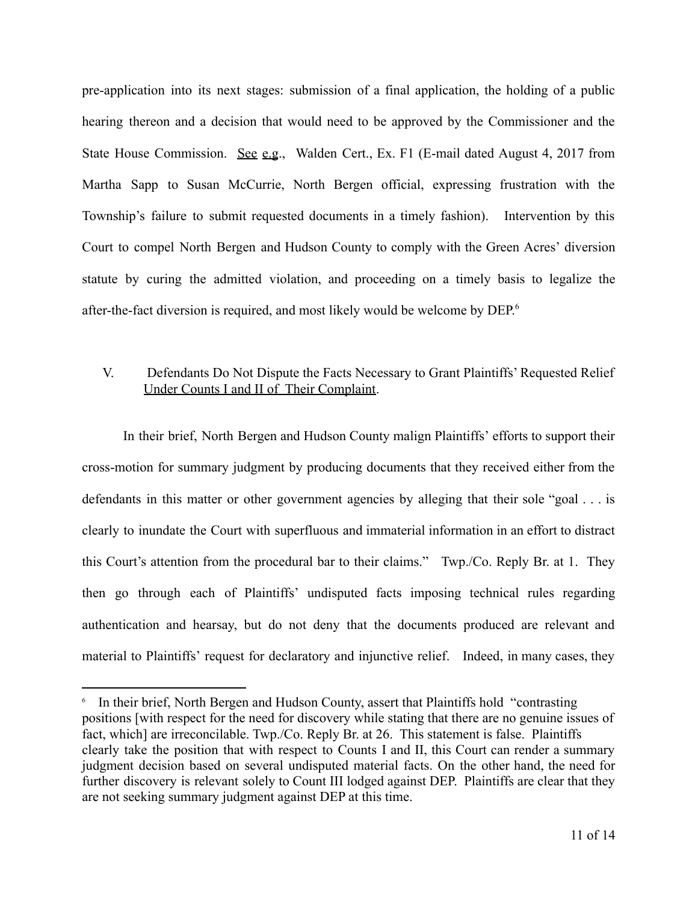pre-application into its next stages: submission of a final application, the holding of a public hearing thereon and a decision that would need to be approved by the Commissioner and the State House Commission. See e.g., Walden Cert., Ex. F1 (E-mail dated August 4, 2017 from Martha Sapp to Susan McCurrie, North Bergen official, expressing frustration with the Township's failure to submit requested documents in a timely fashion). Intervention by this Court to compel North Bergen and Hudson County to comply with the Green Acres' diversion statute by curing the admitted violation, and proceeding on a timely basis to legalize the after-the-fact diversion is required, and most likely would be welcome by DEP. 6

## V. Defendants Do Not Dispute the Facts Necessary to Grant Plaintiffs' Requested Relief Under Counts I and II of Their Complaint.

In their brief, North Bergen and Hudson County malign Plaintiffs' efforts to support their cross-motion for summary judgment by producing documents that they received either from the defendants in this matter or other government agencies by alleging that their sole "goal . . . is clearly to inundate the Court with superfluous and immaterial information in an effort to distract this Court's attention from the procedural bar to their claims." Twp./Co. Reply Br. at 1. They then go through each of Plaintiffs' undisputed facts imposing technical rules regarding authentication and hearsay, but do not deny that the documents produced are relevant and material to Plaintiffs' request for declaratory and injunctive relief. Indeed, in many cases, they

<sup>&</sup>lt;sup>6</sup> In their brief, North Bergen and Hudson County, assert that Plaintiffs hold "contrasting" positions [with respect for the need for discovery while stating that there are no genuine issues of fact, which] are irreconcilable. Twp./Co. Reply Br. at 26. This statement is false. Plaintiffs clearly take the position that with respect to Counts I and II, this Court can render a summary judgment decision based on several undisputed material facts. On the other hand, the need for further discovery is relevant solely to Count III lodged against DEP. Plaintiffs are clear that they are not seeking summary judgment against DEP at this time.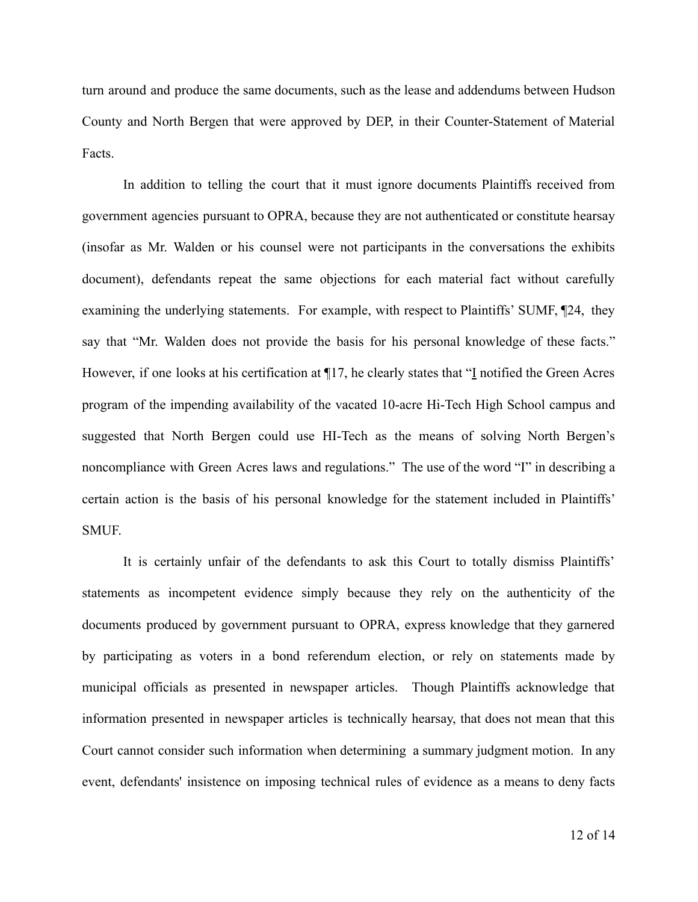turn around and produce the same documents, such as the lease and addendums between Hudson County and North Bergen that were approved by DEP, in their Counter-Statement of Material Facts.

In addition to telling the court that it must ignore documents Plaintiffs received from government agencies pursuant to OPRA, because they are not authenticated or constitute hearsay (insofar as Mr. Walden or his counsel were not participants in the conversations the exhibits document), defendants repeat the same objections for each material fact without carefully examining the underlying statements. For example, with respect to Plaintiffs' SUMF,  $\mathbb{Z}^2$ 4, they say that "Mr. Walden does not provide the basis for his personal knowledge of these facts." However, if one looks at his certification at ¶17, he clearly states that "I notified the Green Acres program of the impending availability of the vacated 10-acre Hi-Tech High School campus and suggested that North Bergen could use HI-Tech as the means of solving North Bergen's noncompliance with Green Acres laws and regulations." The use of the word "I" in describing a certain action is the basis of his personal knowledge for the statement included in Plaintiffs' SMUF.

It is certainly unfair of the defendants to ask this Court to totally dismiss Plaintiffs' statements as incompetent evidence simply because they rely on the authenticity of the documents produced by government pursuant to OPRA, express knowledge that they garnered by participating as voters in a bond referendum election, or rely on statements made by municipal officials as presented in newspaper articles. Though Plaintiffs acknowledge that information presented in newspaper articles is technically hearsay, that does not mean that this Court cannot consider such information when determining a summary judgment motion. In any event, defendants' insistence on imposing technical rules of evidence as a means to deny facts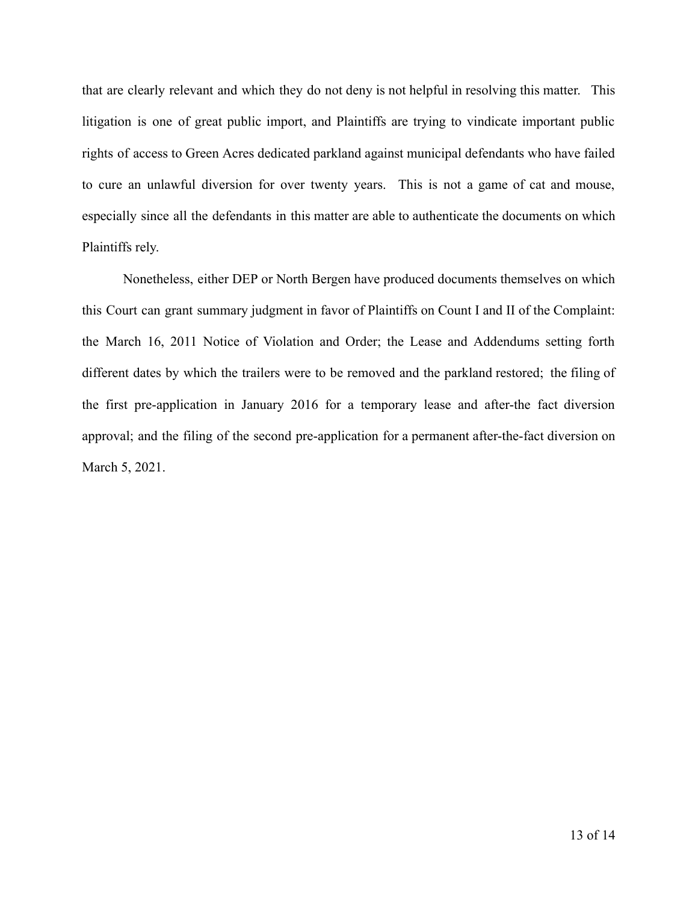that are clearly relevant and which they do not deny is not helpful in resolving this matter. This litigation is one of great public import, and Plaintiffs are trying to vindicate important public rights of access to Green Acres dedicated parkland against municipal defendants who have failed to cure an unlawful diversion for over twenty years. This is not a game of cat and mouse, especially since all the defendants in this matter are able to authenticate the documents on which Plaintiffs rely.

Nonetheless, either DEP or North Bergen have produced documents themselves on which this Court can grant summary judgment in favor of Plaintiffs on Count I and II of the Complaint: the March 16, 2011 Notice of Violation and Order; the Lease and Addendums setting forth different dates by which the trailers were to be removed and the parkland restored; the filing of the first pre-application in January 2016 for a temporary lease and after-the fact diversion approval; and the filing of the second pre-application for a permanent after-the-fact diversion on March 5, 2021.